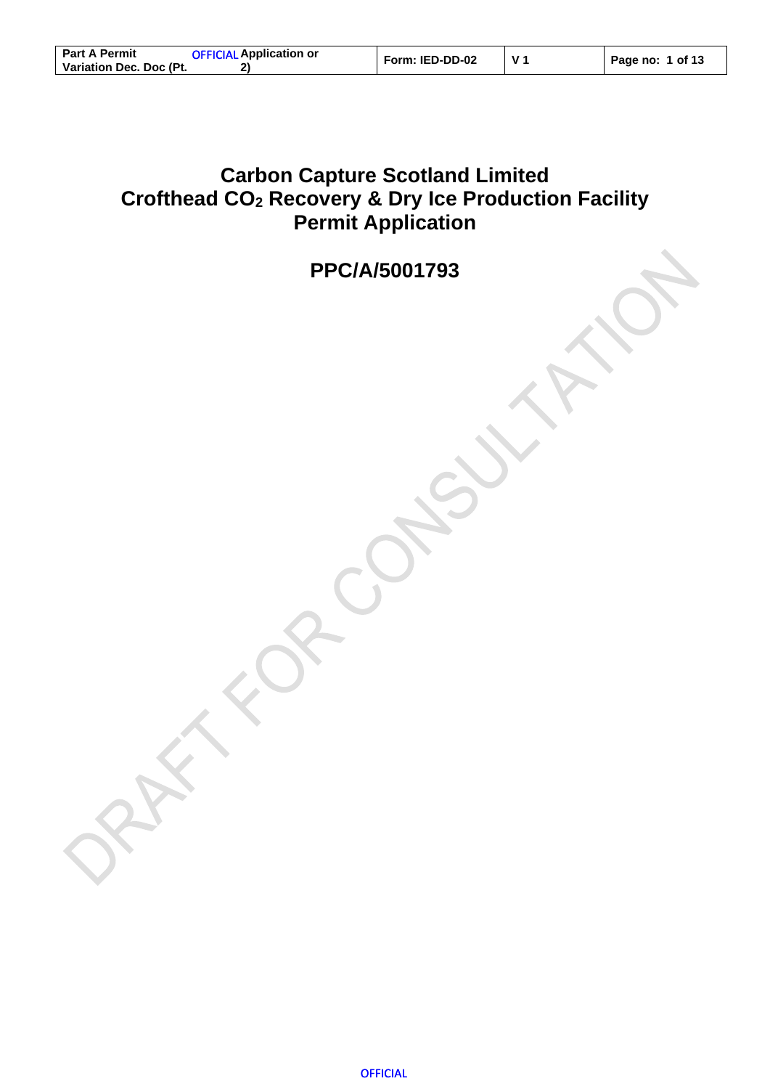| <b>Part A Permit</b>    | <b>OFFICIAL Application or</b> | Form: IED-DD-02 | Page no: 1 of 13 |
|-------------------------|--------------------------------|-----------------|------------------|
| Variation Dec. Doc (Pt. |                                |                 |                  |

## <span id="page-0-0"></span>**Carbon Capture Scotland Limited Crofthead CO<sup>2</sup> Recovery & Dry Ice Production Facility Permit Application**

**PPC/A/5001793**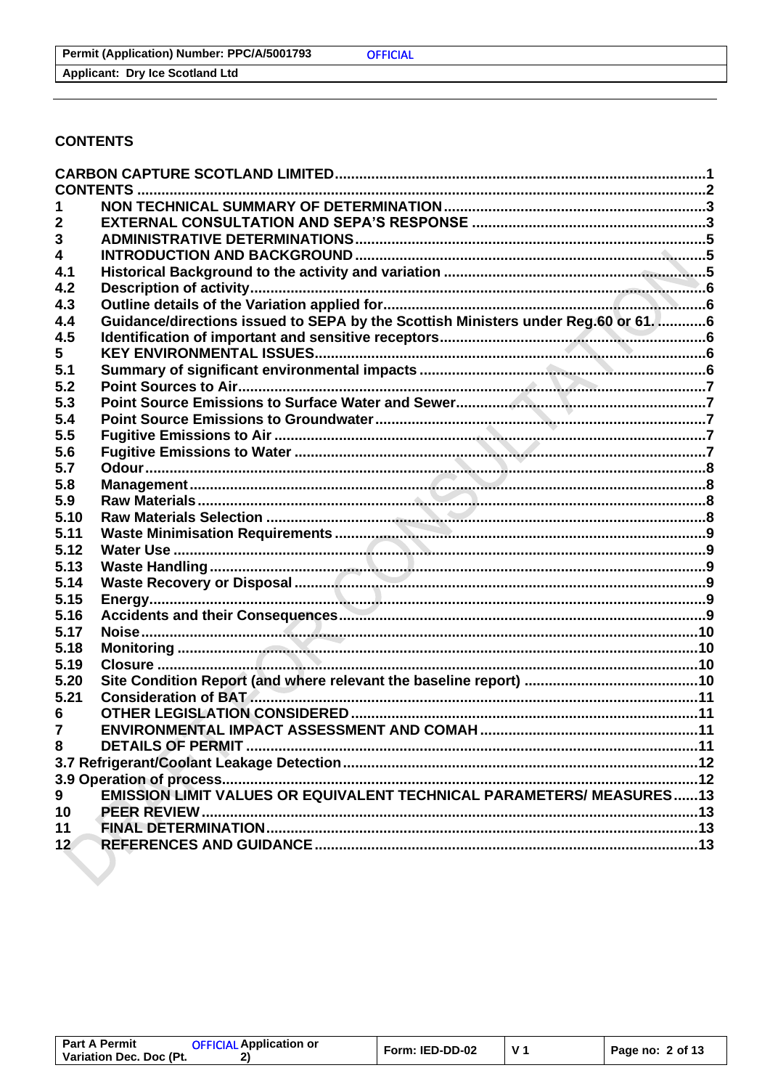**Applicant: Dry Ice Scotland Ltd** 

#### <span id="page-1-0"></span>**CONTENTS**

|                         | <b>CONTENTS.</b>                                                                   |  |
|-------------------------|------------------------------------------------------------------------------------|--|
|                         |                                                                                    |  |
| 2                       |                                                                                    |  |
| 3                       |                                                                                    |  |
| $\overline{\mathbf{4}}$ |                                                                                    |  |
| 4.1                     |                                                                                    |  |
| 4.2                     |                                                                                    |  |
| 4.3                     |                                                                                    |  |
| 4.4                     | Guidance/directions issued to SEPA by the Scottish Ministers under Reg.60 or 61. 6 |  |
| 4.5                     |                                                                                    |  |
| 5.                      |                                                                                    |  |
| 5.1                     |                                                                                    |  |
| 5.2                     |                                                                                    |  |
| 5.3                     |                                                                                    |  |
| 5.4                     |                                                                                    |  |
| 5.5                     |                                                                                    |  |
| 5.6                     |                                                                                    |  |
| 5.7                     |                                                                                    |  |
| 5.8                     |                                                                                    |  |
| 5.9                     |                                                                                    |  |
| 5.10                    |                                                                                    |  |
| 5.11                    |                                                                                    |  |
| 5.12                    |                                                                                    |  |
| 5.13                    |                                                                                    |  |
| 5.14                    |                                                                                    |  |
| 5.15                    |                                                                                    |  |
| 5.16                    |                                                                                    |  |
| 5.17                    |                                                                                    |  |
| 5.18                    |                                                                                    |  |
| 5.19                    |                                                                                    |  |
| 5.20                    |                                                                                    |  |
| 5.21                    |                                                                                    |  |
| 6                       |                                                                                    |  |
| $\overline{7}$          |                                                                                    |  |
| 8                       | <b>DETAILS OF PERMIT </b>                                                          |  |
|                         |                                                                                    |  |
|                         |                                                                                    |  |
| 9                       | <b>EMISSION LIMIT VALUES OR EQUIVALENT TECHNICAL PARAMETERS/ MEASURES13</b>        |  |
| 10                      |                                                                                    |  |
| 11                      |                                                                                    |  |
| 12 <sup>7</sup>         |                                                                                    |  |
|                         |                                                                                    |  |

 $V<sub>1</sub>$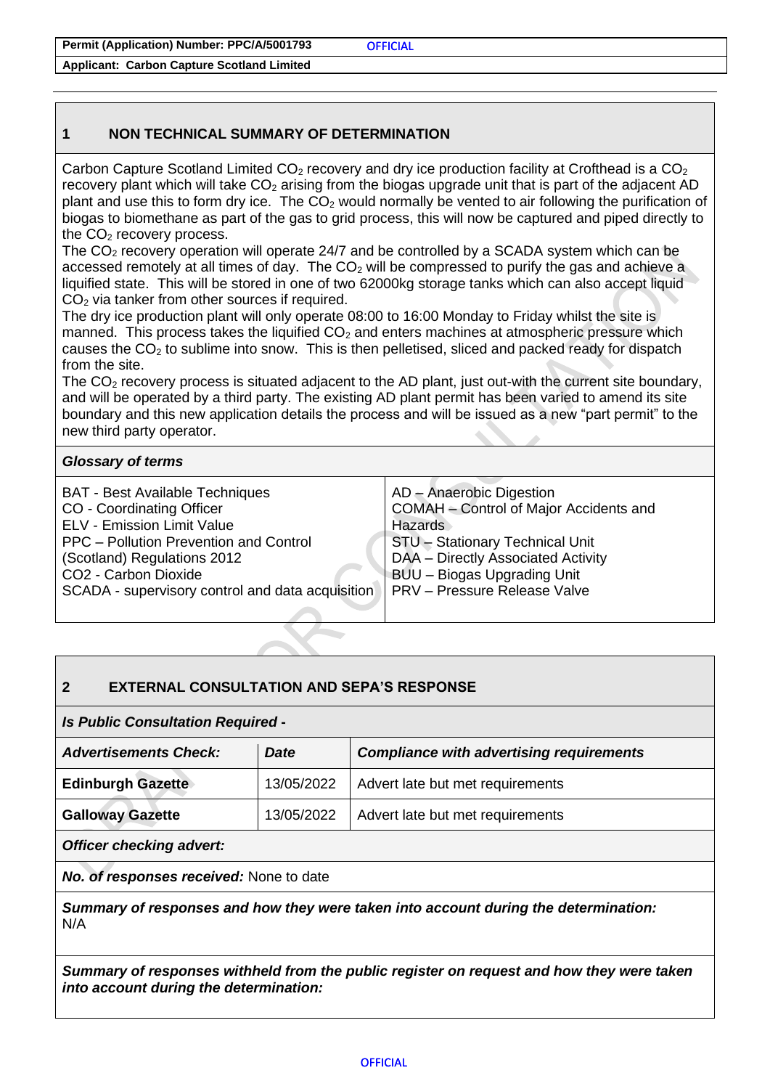**Permit (Application) Number: PPC/A/5001793**

**Applicant: Carbon Capture Scotland Limited**

#### <span id="page-2-0"></span>**1 NON TECHNICAL SUMMARY OF DETERMINATION**

Carbon Capture Scotland Limited CO<sub>2</sub> recovery and dry ice production facility at Crofthead is a CO<sub>2</sub> recovery plant which will take  $CO<sub>2</sub>$  arising from the biogas upgrade unit that is part of the adjacent AD plant and use this to form dry ice. The  $CO<sub>2</sub>$  would normally be vented to air following the purification of biogas to biomethane as part of the gas to grid process, this will now be captured and piped directly to the  $CO<sub>2</sub>$  recovery process.

The  $CO<sub>2</sub>$  recovery operation will operate 24/7 and be controlled by a SCADA system which can be accessed remotely at all times of day. The  $CO<sub>2</sub>$  will be compressed to purify the gas and achieve a liquified state. This will be stored in one of two 62000kg storage tanks which can also accept liquid CO<sub>2</sub> via tanker from other sources if required.

The dry ice production plant will only operate 08:00 to 16:00 Monday to Friday whilst the site is manned. This process takes the liquified  $CO<sub>2</sub>$  and enters machines at atmospheric pressure which causes the  $CO<sub>2</sub>$  to sublime into snow. This is then pelletised, sliced and packed ready for dispatch from the site.

The CO<sub>2</sub> recovery process is situated adjacent to the AD plant, just out-with the current site boundary, and will be operated by a third party. The existing AD plant permit has been varied to amend its site boundary and this new application details the process and will be issued as a new "part permit" to the new third party operator.

#### *Glossary of terms*

| <b>BAT - Best Available Techniques</b>           | AD - Anaerobic Digestion               |  |
|--------------------------------------------------|----------------------------------------|--|
| CO - Coordinating Officer                        | COMAH - Control of Major Accidents and |  |
| <b>ELV - Emission Limit Value</b>                | <b>Hazards</b>                         |  |
| PPC - Pollution Prevention and Control           | <b>STU-Stationary Technical Unit</b>   |  |
| (Scotland) Regulations 2012                      | DAA - Directly Associated Activity     |  |
| CO2 - Carbon Dioxide                             | BUU - Biogas Upgrading Unit            |  |
| SCADA - supervisory control and data acquisition | PRV - Pressure Release Valve           |  |
|                                                  |                                        |  |

## <span id="page-2-1"></span>**2 EXTERNAL CONSULTATION AND SEPA'S RESPONSE**

#### *Is Public Consultation Required* **-**

| <b>Advertisements Check:</b> | <b>Date</b> | <b>Compliance with advertising requirements</b> |
|------------------------------|-------------|-------------------------------------------------|
| <b>Edinburgh Gazette</b>     | 13/05/2022  | Advert late but met requirements                |
| <b>Galloway Gazette</b>      | 13/05/2022  | Advert late but met requirements                |
| $\sim$ $\sim$                |             |                                                 |

*Officer checking advert:*

*No. of responses received:* None to date

*Summary of responses and how they were taken into account during the determination:* N/A

*Summary of responses withheld from the public register on request and how they were taken into account during the determination:*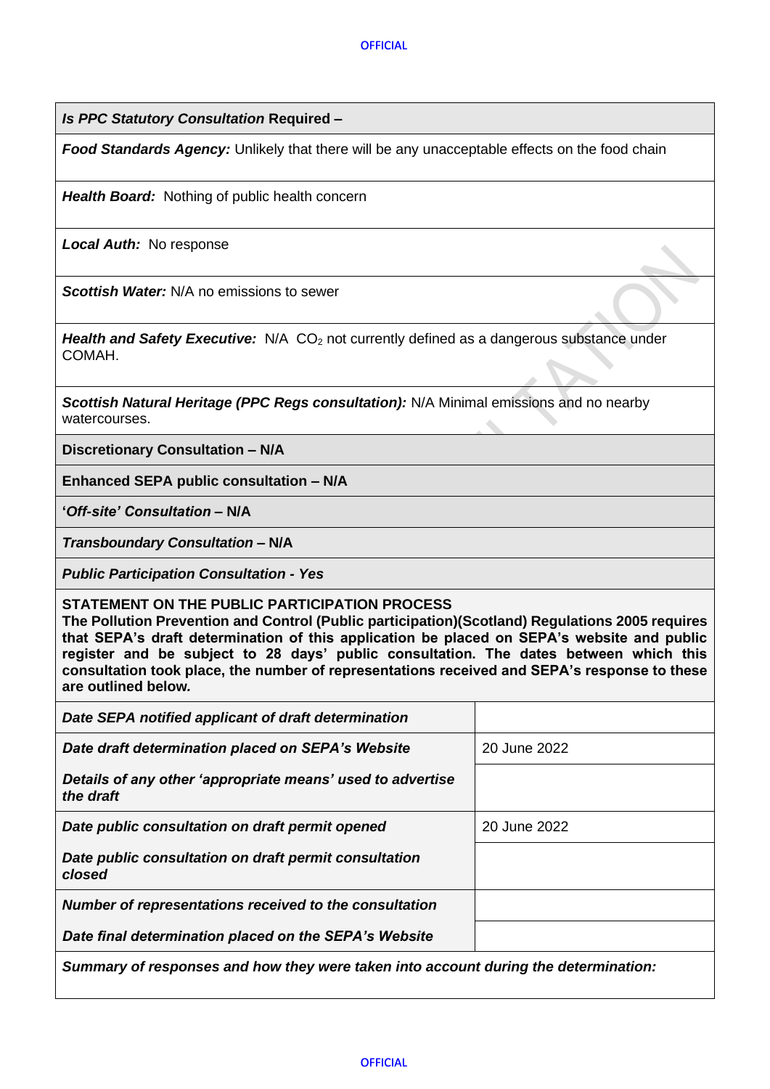*Is PPC Statutory Consultation* **Required –**

*Food Standards Agency:* Unlikely that there will be any unacceptable effects on the food chain

*Health Board:* Nothing of public health concern

*Local Auth:* No response

*Scottish Water:* N/A no emissions to sewer

*Health and Safety Executive:* N/A CO<sub>2</sub> not currently defined as a dangerous substance under COMAH.

*Scottish Natural Heritage (PPC Regs consultation):* N/A Minimal emissions and no nearby watercourses.

**Discretionary Consultation – N/A**

**Enhanced SEPA public consultation – N/A**

**'***Off-site' Consultation* **– N/A**

*Transboundary Consultation* **– N/A**

*Public Participation Consultation - Yes*

**STATEMENT ON THE PUBLIC PARTICIPATION PROCESS** 

**The Pollution Prevention and Control (Public participation)(Scotland) Regulations 2005 requires that SEPA's draft determination of this application be placed on SEPA's website and public register and be subject to 28 days' public consultation. The dates between which this consultation took place, the number of representations received and SEPA's response to these are outlined below***.* 

| Date SEPA notified applicant of draft determination                                 |              |  |
|-------------------------------------------------------------------------------------|--------------|--|
| Date draft determination placed on SEPA's Website                                   | 20 June 2022 |  |
| Details of any other 'appropriate means' used to advertise<br>the draft             |              |  |
| Date public consultation on draft permit opened                                     | 20 June 2022 |  |
| Date public consultation on draft permit consultation<br>closed                     |              |  |
| Number of representations received to the consultation                              |              |  |
| Date final determination placed on the SEPA's Website                               |              |  |
| Summary of responses and how they were taken into account during the determination: |              |  |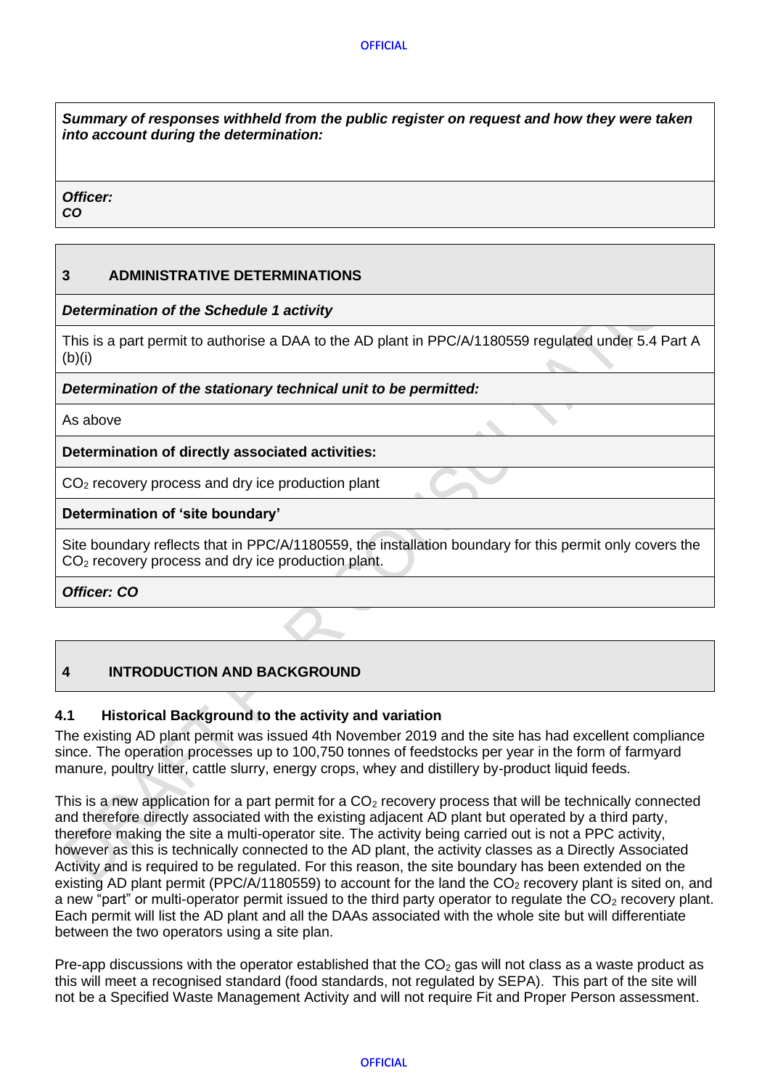*Summary of responses withheld from the public register on request and how they were taken into account during the determination:*

#### *Officer:*

*CO*

#### <span id="page-4-0"></span>**3 ADMINISTRATIVE DETERMINATIONS**

*Determination of the Schedule 1 activity* 

This is a part permit to authorise a DAA to the AD plant in PPC/A/1180559 regulated under 5.4 Part A  $(b)(i)$ 

#### *Determination of the stationary technical unit to be permitted:*

As above

#### **Determination of directly associated activities:**

CO<sub>2</sub> recovery process and dry ice production plant

#### **Determination of 'site boundary'**

Site boundary reflects that in PPC/A/1180559, the installation boundary for this permit only covers the CO<sub>2</sub> recovery process and dry ice production plant.

*Officer: CO*

## <span id="page-4-1"></span>**4 INTRODUCTION AND BACKGROUND**

## <span id="page-4-2"></span>**4.1 Historical Background to the activity and variation**

The existing AD plant permit was issued 4th November 2019 and the site has had excellent compliance since. The operation processes up to 100,750 tonnes of feedstocks per year in the form of farmyard manure, poultry litter, cattle slurry, energy crops, whey and distillery by-product liquid feeds.

This is a new application for a part permit for a  $CO<sub>2</sub>$  recovery process that will be technically connected and therefore directly associated with the existing adjacent AD plant but operated by a third party, therefore making the site a multi-operator site. The activity being carried out is not a PPC activity, however as this is technically connected to the AD plant, the activity classes as a Directly Associated Activity and is required to be regulated. For this reason, the site boundary has been extended on the existing AD plant permit (PPC/A/1180559) to account for the land the  $CO<sub>2</sub>$  recovery plant is sited on, and a new "part" or multi-operator permit issued to the third party operator to regulate the  $CO<sub>2</sub>$  recovery plant. Each permit will list the AD plant and all the DAAs associated with the whole site but will differentiate between the two operators using a site plan.

Pre-app discussions with the operator established that the  $CO<sub>2</sub>$  gas will not class as a waste product as this will meet a recognised standard (food standards, not regulated by SEPA). This part of the site will not be a Specified Waste Management Activity and will not require Fit and Proper Person assessment.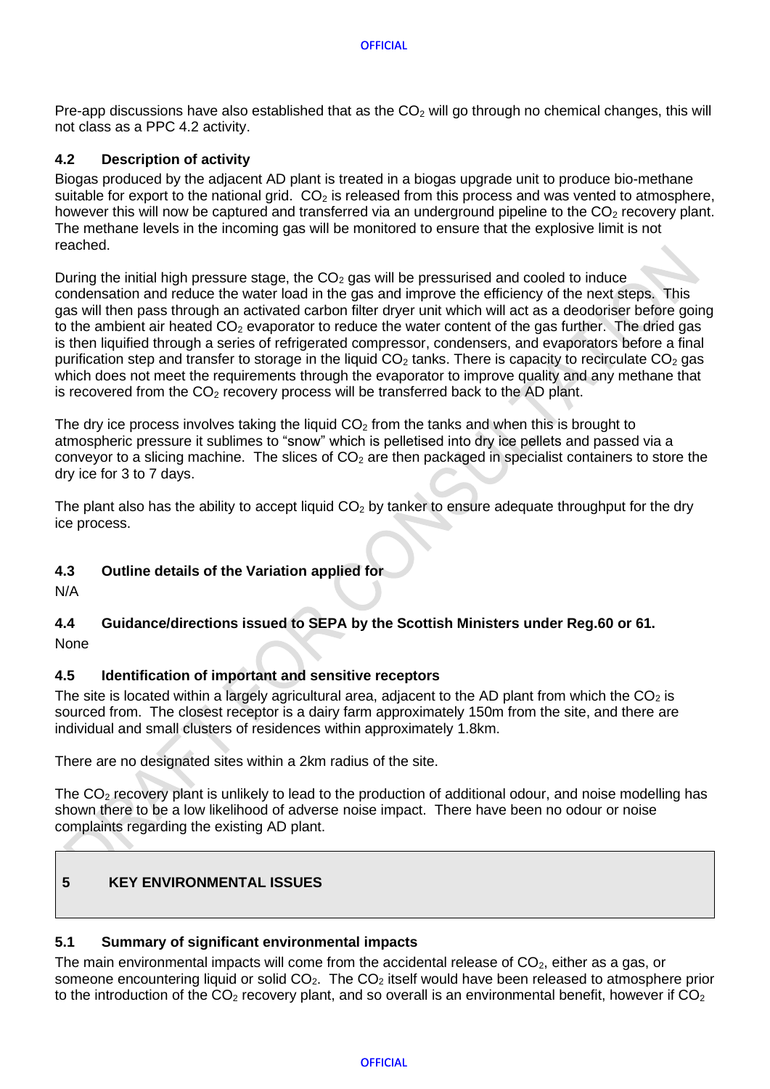#### **OFFICIAL**

Pre-app discussions have also established that as the  $CO<sub>2</sub>$  will go through no chemical changes, this will not class as a PPC 4.2 activity.

#### <span id="page-5-0"></span>**4.2 Description of activity**

Biogas produced by the adjacent AD plant is treated in a biogas upgrade unit to produce bio-methane suitable for export to the national grid.  $CO<sub>2</sub>$  is released from this process and was vented to atmosphere, however this will now be captured and transferred via an underground pipeline to the  $CO<sub>2</sub>$  recovery plant. The methane levels in the incoming gas will be monitored to ensure that the explosive limit is not reached.

During the initial high pressure stage, the  $CO<sub>2</sub>$  gas will be pressurised and cooled to induce condensation and reduce the water load in the gas and improve the efficiency of the next steps. This gas will then pass through an activated carbon filter dryer unit which will act as a deodoriser before going to the ambient air heated  $CO<sub>2</sub>$  evaporator to reduce the water content of the gas further. The dried gas is then liquified through a series of refrigerated compressor, condensers, and evaporators before a final purification step and transfer to storage in the liquid  $CO<sub>2</sub>$  tanks. There is capacity to recirculate  $CO<sub>2</sub>$  gas which does not meet the requirements through the evaporator to improve quality and any methane that is recovered from the  $CO<sub>2</sub>$  recovery process will be transferred back to the AD plant.

The dry ice process involves taking the liquid  $CO<sub>2</sub>$  from the tanks and when this is brought to atmospheric pressure it sublimes to "snow" which is pelletised into dry ice pellets and passed via a conveyor to a slicing machine. The slices of  $CO<sub>2</sub>$  are then packaged in specialist containers to store the dry ice for 3 to 7 days.

The plant also has the ability to accept liquid  $CO<sub>2</sub>$  by tanker to ensure adequate throughput for the dry ice process.

## <span id="page-5-1"></span>**4.3 Outline details of the Variation applied for**

<span id="page-5-2"></span>N/A

# **4.4 Guidance/directions issued to SEPA by the Scottish Ministers under Reg.60 or 61.**

<span id="page-5-3"></span>None

## **4.5 Identification of important and sensitive receptors**

The site is located within a largely agricultural area, adjacent to the AD plant from which the  $CO<sub>2</sub>$  is sourced from. The closest receptor is a dairy farm approximately 150m from the site, and there are individual and small clusters of residences within approximately 1.8km.

There are no designated sites within a 2km radius of the site.

The CO<sub>2</sub> recovery plant is unlikely to lead to the production of additional odour, and noise modelling has shown there to be a low likelihood of adverse noise impact. There have been no odour or noise complaints regarding the existing AD plant.

## <span id="page-5-4"></span>**5 KEY ENVIRONMENTAL ISSUES**

#### <span id="page-5-5"></span>**5.1 Summary of significant environmental impacts**

The main environmental impacts will come from the accidental release of  $CO<sub>2</sub>$ , either as a gas, or someone encountering liquid or solid  $CO<sub>2</sub>$ . The  $CO<sub>2</sub>$  itself would have been released to atmosphere prior to the introduction of the  $CO<sub>2</sub>$  recovery plant, and so overall is an environmental benefit, however if  $CO<sub>2</sub>$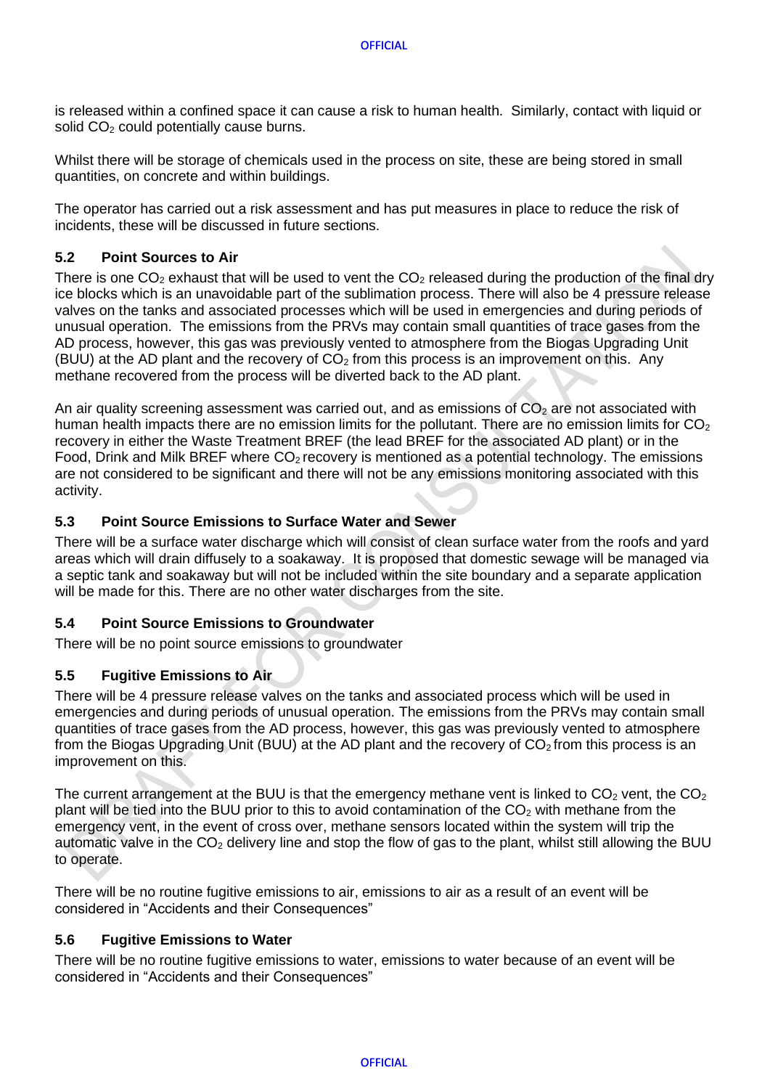is released within a confined space it can cause a risk to human health. Similarly, contact with liquid or solid  $CO<sub>2</sub>$  could potentially cause burns.

Whilst there will be storage of chemicals used in the process on site, these are being stored in small quantities, on concrete and within buildings.

The operator has carried out a risk assessment and has put measures in place to reduce the risk of incidents, these will be discussed in future sections.

#### <span id="page-6-0"></span>**5.2 Point Sources to Air**

There is one  $CO<sub>2</sub>$  exhaust that will be used to vent the  $CO<sub>2</sub>$  released during the production of the final dry ice blocks which is an unavoidable part of the sublimation process. There will also be 4 pressure release valves on the tanks and associated processes which will be used in emergencies and during periods of unusual operation. The emissions from the PRVs may contain small quantities of trace gases from the AD process, however, this gas was previously vented to atmosphere from the Biogas Upgrading Unit (BUU) at the AD plant and the recovery of  $CO<sub>2</sub>$  from this process is an improvement on this. Any methane recovered from the process will be diverted back to the AD plant.

An air quality screening assessment was carried out, and as emissions of  $CO<sub>2</sub>$  are not associated with human health impacts there are no emission limits for the pollutant. There are no emission limits for  $CO<sub>2</sub>$ recovery in either the Waste Treatment BREF (the lead BREF for the associated AD plant) or in the Food, Drink and Milk BREF where CO<sub>2</sub> recovery is mentioned as a potential technology. The emissions are not considered to be significant and there will not be any emissions monitoring associated with this activity.

#### <span id="page-6-1"></span>**5.3 Point Source Emissions to Surface Water and Sewer**

There will be a surface water discharge which will consist of clean surface water from the roofs and yard areas which will drain diffusely to a soakaway. It is proposed that domestic sewage will be managed via a septic tank and soakaway but will not be included within the site boundary and a separate application will be made for this. There are no other water discharges from the site.

#### <span id="page-6-2"></span>**5.4 Point Source Emissions to Groundwater**

<span id="page-6-3"></span>There will be no point source emissions to groundwater

#### **5.5 Fugitive Emissions to Air**

There will be 4 pressure release valves on the tanks and associated process which will be used in emergencies and during periods of unusual operation. The emissions from the PRVs may contain small quantities of trace gases from the AD process, however, this gas was previously vented to atmosphere from the Biogas Upgrading Unit (BUU) at the AD plant and the recovery of  $CO<sub>2</sub>$  from this process is an improvement on this.

The current arrangement at the BUU is that the emergency methane vent is linked to  $CO<sub>2</sub>$  vent, the  $CO<sub>2</sub>$ plant will be tied into the BUU prior to this to avoid contamination of the  $CO<sub>2</sub>$  with methane from the emergency vent, in the event of cross over, methane sensors located within the system will trip the automatic valve in the  $CO<sub>2</sub>$  delivery line and stop the flow of gas to the plant, whilst still allowing the BUU to operate.

There will be no routine fugitive emissions to air, emissions to air as a result of an event will be considered in "Accidents and their Consequences"

#### <span id="page-6-4"></span>**5.6 Fugitive Emissions to Water**

There will be no routine fugitive emissions to water, emissions to water because of an event will be considered in "Accidents and their Consequences"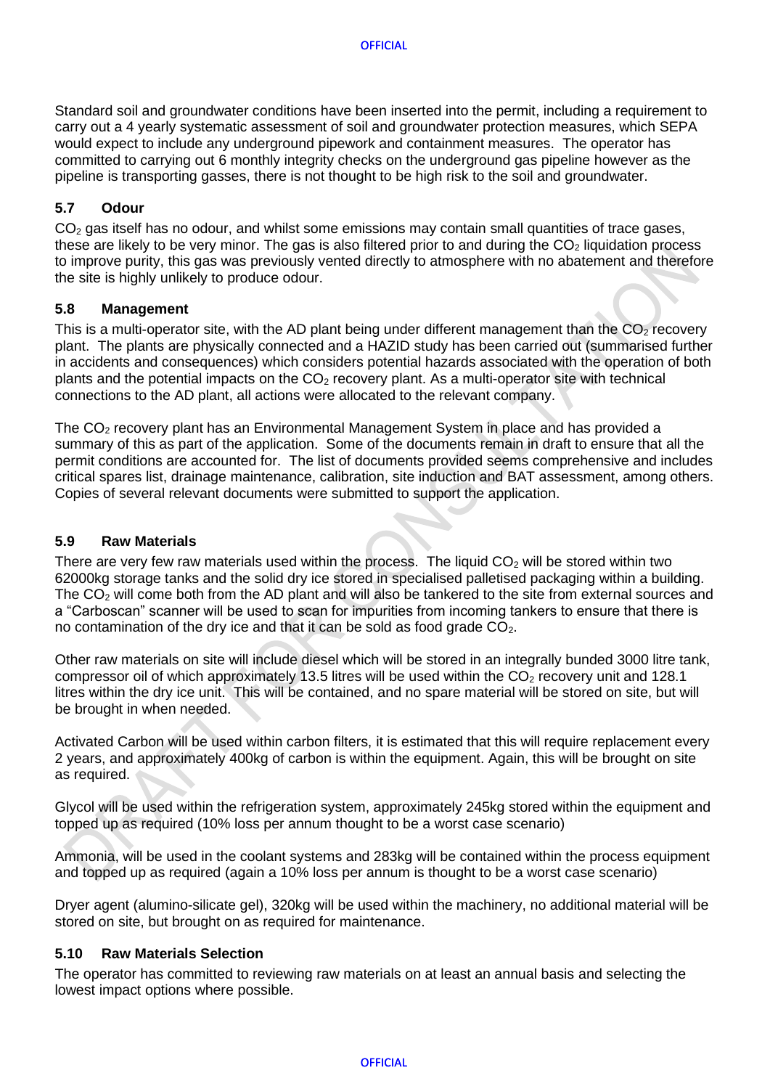Standard soil and groundwater conditions have been inserted into the permit, including a requirement to carry out a 4 yearly systematic assessment of soil and groundwater protection measures, which SEPA would expect to include any underground pipework and containment measures. The operator has committed to carrying out 6 monthly integrity checks on the underground gas pipeline however as the pipeline is transporting gasses, there is not thought to be high risk to the soil and groundwater.

#### <span id="page-7-0"></span>**5.7 Odour**

 $CO<sub>2</sub>$  gas itself has no odour, and whilst some emissions may contain small quantities of trace gases, these are likely to be very minor. The gas is also filtered prior to and during the  $CO<sub>2</sub>$  liquidation process to improve purity, this gas was previously vented directly to atmosphere with no abatement and therefore the site is highly unlikely to produce odour.

#### <span id="page-7-1"></span>**5.8 Management**

This is a multi-operator site, with the AD plant being under different management than the  $CO<sub>2</sub>$  recovery plant. The plants are physically connected and a HAZID study has been carried out (summarised further in accidents and consequences) which considers potential hazards associated with the operation of both plants and the potential impacts on the  $CO<sub>2</sub>$  recovery plant. As a multi-operator site with technical connections to the AD plant, all actions were allocated to the relevant company.

The CO<sub>2</sub> recovery plant has an Environmental Management System in place and has provided a summary of this as part of the application. Some of the documents remain in draft to ensure that all the permit conditions are accounted for. The list of documents provided seems comprehensive and includes critical spares list, drainage maintenance, calibration, site induction and BAT assessment, among others. Copies of several relevant documents were submitted to support the application.

#### <span id="page-7-2"></span>**5.9 Raw Materials**

There are very few raw materials used within the process. The liquid  $CO<sub>2</sub>$  will be stored within two 62000kg storage tanks and the solid dry ice stored in specialised palletised packaging within a building. The CO<sub>2</sub> will come both from the AD plant and will also be tankered to the site from external sources and a "Carboscan" scanner will be used to scan for impurities from incoming tankers to ensure that there is no contamination of the dry ice and that it can be sold as food grade  $CO<sub>2</sub>$ .

Other raw materials on site will include diesel which will be stored in an integrally bunded 3000 litre tank, compressor oil of which approximately 13.5 litres will be used within the  $CO<sub>2</sub>$  recovery unit and 128.1 litres within the dry ice unit. This will be contained, and no spare material will be stored on site, but will be brought in when needed.

Activated Carbon will be used within carbon filters, it is estimated that this will require replacement every 2 years, and approximately 400kg of carbon is within the equipment. Again, this will be brought on site as required.

Glycol will be used within the refrigeration system, approximately 245kg stored within the equipment and topped up as required (10% loss per annum thought to be a worst case scenario)

Ammonia, will be used in the coolant systems and 283kg will be contained within the process equipment and topped up as required (again a 10% loss per annum is thought to be a worst case scenario)

Dryer agent (alumino-silicate gel), 320kg will be used within the machinery, no additional material will be stored on site, but brought on as required for maintenance.

#### <span id="page-7-3"></span>**5.10 Raw Materials Selection**

The operator has committed to reviewing raw materials on at least an annual basis and selecting the lowest impact options where possible.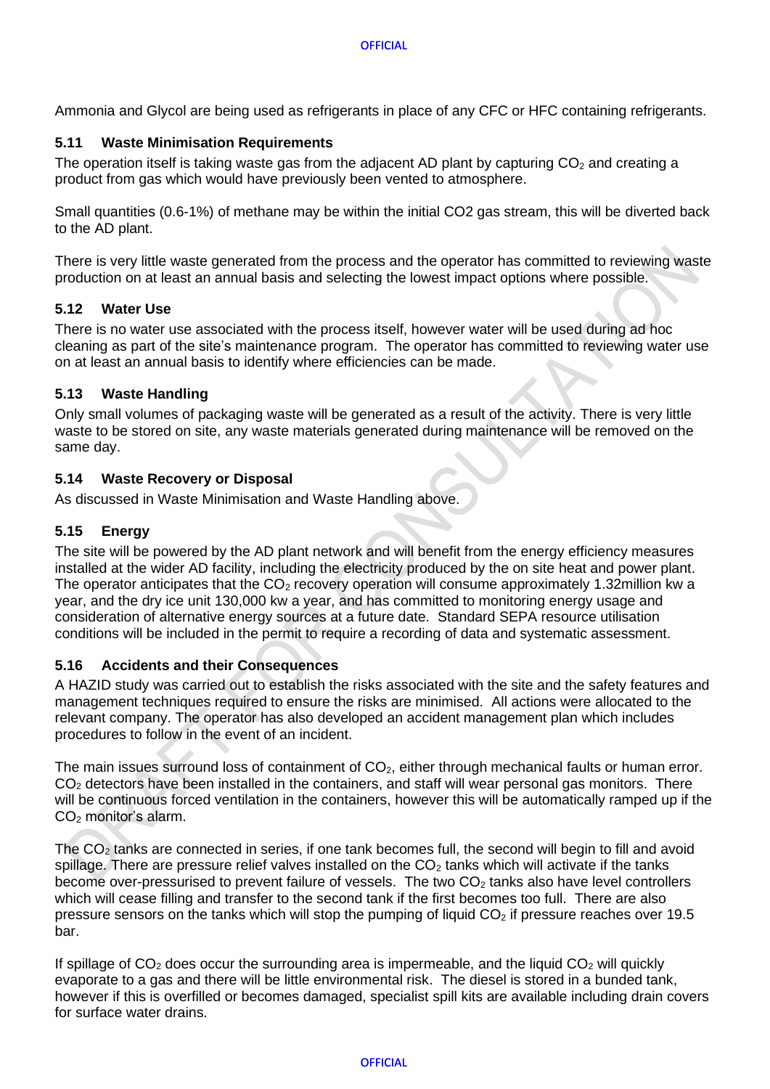Ammonia and Glycol are being used as refrigerants in place of any CFC or HFC containing refrigerants.

#### <span id="page-8-0"></span>**5.11 Waste Minimisation Requirements**

The operation itself is taking waste gas from the adjacent AD plant by capturing  $CO<sub>2</sub>$  and creating a product from gas which would have previously been vented to atmosphere.

Small quantities (0.6-1%) of methane may be within the initial CO2 gas stream, this will be diverted back to the AD plant.

There is very little waste generated from the process and the operator has committed to reviewing waste production on at least an annual basis and selecting the lowest impact options where possible.

#### <span id="page-8-1"></span>**5.12 Water Use**

There is no water use associated with the process itself, however water will be used during ad hoc cleaning as part of the site's maintenance program. The operator has committed to reviewing water use on at least an annual basis to identify where efficiencies can be made.

#### <span id="page-8-2"></span>**5.13 Waste Handling**

Only small volumes of packaging waste will be generated as a result of the activity. There is very little waste to be stored on site, any waste materials generated during maintenance will be removed on the same day.

#### <span id="page-8-3"></span>**5.14 Waste Recovery or Disposal**

As discussed in Waste Minimisation and Waste Handling above.

## <span id="page-8-4"></span>**5.15 Energy**

The site will be powered by the AD plant network and will benefit from the energy efficiency measures installed at the wider AD facility, including the electricity produced by the on site heat and power plant. The operator anticipates that the  $CO<sub>2</sub>$  recovery operation will consume approximately 1.32million kw a year, and the dry ice unit 130,000 kw a year, and has committed to monitoring energy usage and consideration of alternative energy sources at a future date. Standard SEPA resource utilisation conditions will be included in the permit to require a recording of data and systematic assessment.

#### <span id="page-8-5"></span>**5.16 Accidents and their Consequences**

A HAZID study was carried out to establish the risks associated with the site and the safety features and management techniques required to ensure the risks are minimised. All actions were allocated to the relevant company. The operator has also developed an accident management plan which includes procedures to follow in the event of an incident.

The main issues surround loss of containment of  $CO<sub>2</sub>$ , either through mechanical faults or human error.  $CO<sub>2</sub>$  detectors have been installed in the containers, and staff will wear personal gas monitors. There will be continuous forced ventilation in the containers, however this will be automatically ramped up if the CO<sup>2</sup> monitor's alarm.

The  $CO<sub>2</sub>$  tanks are connected in series, if one tank becomes full, the second will begin to fill and avoid spillage. There are pressure relief valves installed on the  $CO<sub>2</sub>$  tanks which will activate if the tanks become over-pressurised to prevent failure of vessels. The two  $CO<sub>2</sub>$  tanks also have level controllers which will cease filling and transfer to the second tank if the first becomes too full. There are also pressure sensors on the tanks which will stop the pumping of liquid  $CO<sub>2</sub>$  if pressure reaches over 19.5 bar.

If spillage of  $CO<sub>2</sub>$  does occur the surrounding area is impermeable, and the liquid  $CO<sub>2</sub>$  will quickly evaporate to a gas and there will be little environmental risk. The diesel is stored in a bunded tank, however if this is overfilled or becomes damaged, specialist spill kits are available including drain covers for surface water drains.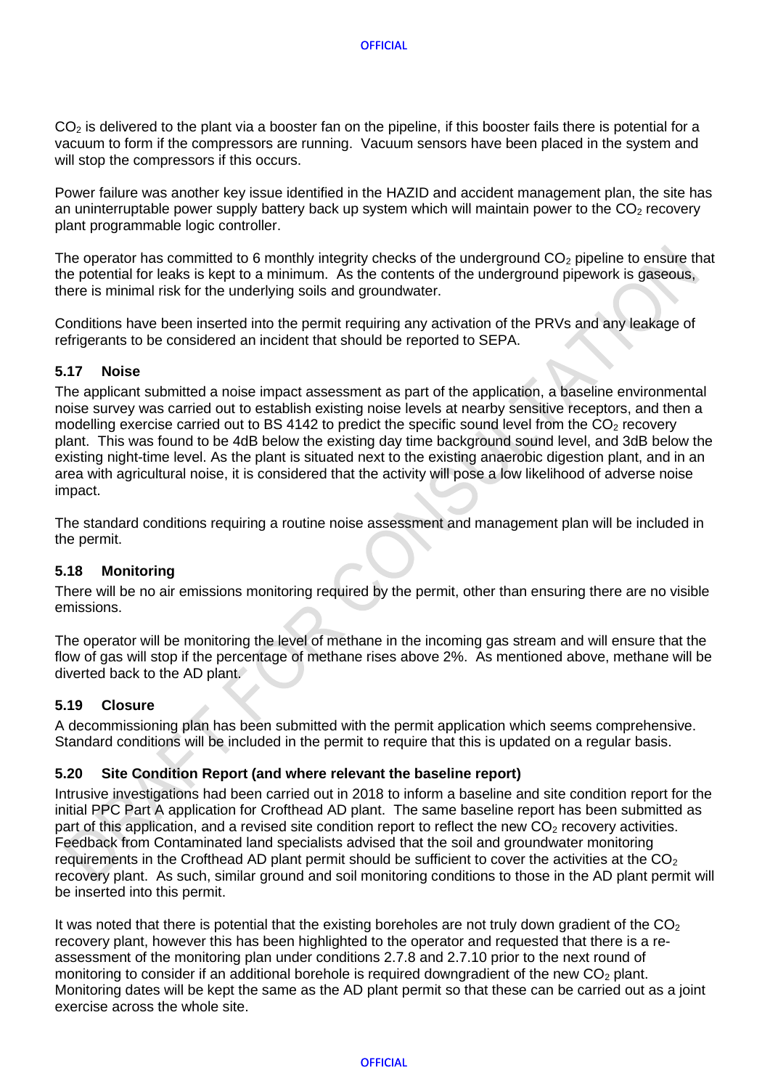$CO<sub>2</sub>$  is delivered to the plant via a booster fan on the pipeline, if this booster fails there is potential for a vacuum to form if the compressors are running. Vacuum sensors have been placed in the system and will stop the compressors if this occurs.

Power failure was another key issue identified in the HAZID and accident management plan, the site has an uninterruptable power supply battery back up system which will maintain power to the  $CO<sub>2</sub>$  recovery plant programmable logic controller.

The operator has committed to 6 monthly integrity checks of the underground  $CO<sub>2</sub>$  pipeline to ensure that the potential for leaks is kept to a minimum. As the contents of the underground pipework is gaseous, there is minimal risk for the underlying soils and groundwater.

Conditions have been inserted into the permit requiring any activation of the PRVs and any leakage of refrigerants to be considered an incident that should be reported to SEPA.

#### <span id="page-9-0"></span>**5.17 Noise**

The applicant submitted a noise impact assessment as part of the application, a baseline environmental noise survey was carried out to establish existing noise levels at nearby sensitive receptors, and then a modelling exercise carried out to BS 4142 to predict the specific sound level from the  $CO<sub>2</sub>$  recovery plant. This was found to be 4dB below the existing day time background sound level, and 3dB below the existing night-time level. As the plant is situated next to the existing anaerobic digestion plant, and in an area with agricultural noise, it is considered that the activity will pose a low likelihood of adverse noise impact.

The standard conditions requiring a routine noise assessment and management plan will be included in the permit.

#### <span id="page-9-1"></span>**5.18 Monitoring**

There will be no air emissions monitoring required by the permit, other than ensuring there are no visible emissions.

The operator will be monitoring the level of methane in the incoming gas stream and will ensure that the flow of gas will stop if the percentage of methane rises above 2%. As mentioned above, methane will be diverted back to the AD plant.

## <span id="page-9-2"></span>**5.19 Closure**

A decommissioning plan has been submitted with the permit application which seems comprehensive. Standard conditions will be included in the permit to require that this is updated on a regular basis.

#### <span id="page-9-3"></span>**5.20 Site Condition Report (and where relevant the baseline report)**

Intrusive investigations had been carried out in 2018 to inform a baseline and site condition report for the initial PPC Part A application for Crofthead AD plant. The same baseline report has been submitted as part of this application, and a revised site condition report to reflect the new  $CO<sub>2</sub>$  recovery activities. Feedback from Contaminated land specialists advised that the soil and groundwater monitoring requirements in the Crofthead AD plant permit should be sufficient to cover the activities at the  $CO<sub>2</sub>$ recovery plant. As such, similar ground and soil monitoring conditions to those in the AD plant permit will be inserted into this permit.

It was noted that there is potential that the existing boreholes are not truly down gradient of the  $CO<sub>2</sub>$ recovery plant, however this has been highlighted to the operator and requested that there is a reassessment of the monitoring plan under conditions 2.7.8 and 2.7.10 prior to the next round of monitoring to consider if an additional borehole is required downgradient of the new  $CO<sub>2</sub>$  plant. Monitoring dates will be kept the same as the AD plant permit so that these can be carried out as a joint exercise across the whole site.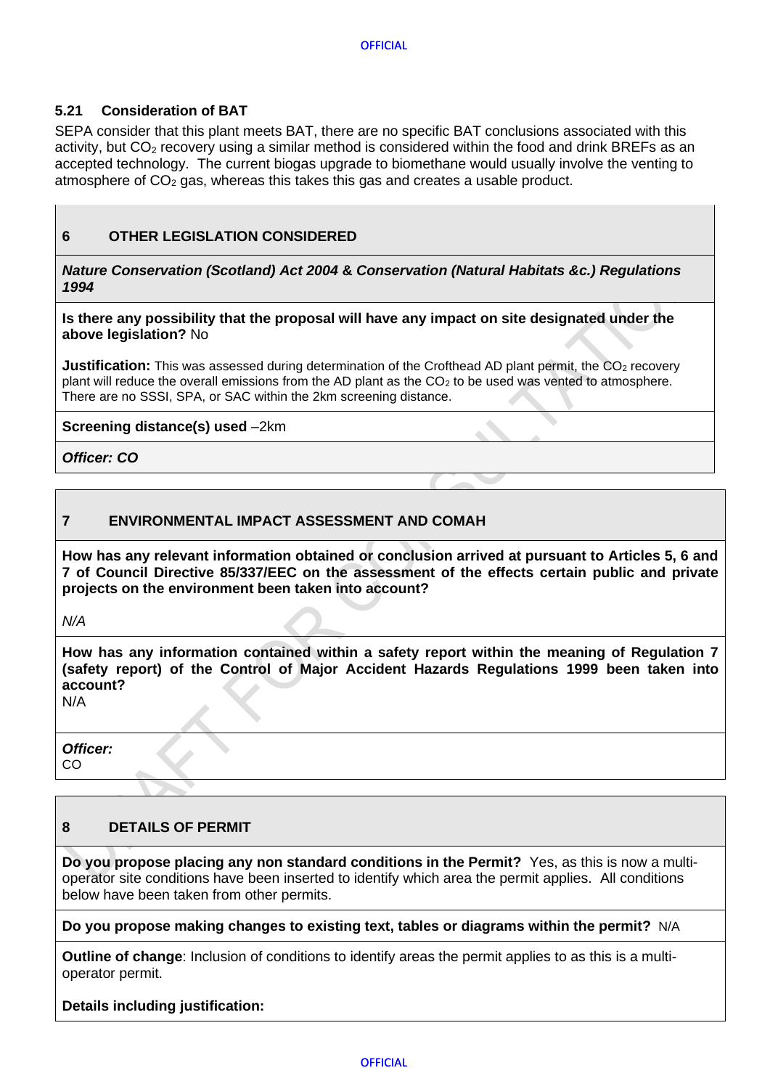#### <span id="page-10-0"></span>**5.21 Consideration of BAT**

SEPA consider that this plant meets BAT, there are no specific BAT conclusions associated with this activity, but  $CO<sub>2</sub>$  recovery using a similar method is considered within the food and drink BREFs as an accepted technology. The current biogas upgrade to biomethane would usually involve the venting to atmosphere of  $CO<sub>2</sub>$  gas, whereas this takes this gas and creates a usable product.

#### <span id="page-10-1"></span>**6 OTHER LEGISLATION CONSIDERED**

*Nature Conservation (Scotland) Act 2004* **&** *Conservation (Natural Habitats &c.) Regulations 1994*

**Is there any possibility that the proposal will have any impact on site designated under the above legislation?** No

**Justification:** This was assessed during determination of the Crofthead AD plant permit, the CO<sub>2</sub> recovery plant will reduce the overall emissions from the AD plant as the CO<sup>2</sup> to be used was vented to atmosphere. There are no SSSI, SPA, or SAC within the 2km screening distance.

**Screening distance(s) used** –2km

*Officer: CO*

#### <span id="page-10-2"></span>**7 ENVIRONMENTAL IMPACT ASSESSMENT AND COMAH**

**How has any relevant information obtained or conclusion arrived at pursuant to Articles 5, 6 and 7 of Council Directive 85/337/EEC on the assessment of the effects certain public and private projects on the environment been taken into account?** 

*N/A*

**How has any information contained within a safety report within the meaning of Regulation 7 (safety report) of the Control of Major Accident Hazards Regulations 1999 been taken into account?** 

N/A

*Officer:* CO

#### <span id="page-10-3"></span>**8 DETAILS OF PERMIT**

**Do you propose placing any non standard conditions in the Permit?** Yes, as this is now a multioperator site conditions have been inserted to identify which area the permit applies. All conditions below have been taken from other permits.

#### **Do you propose making changes to existing text, tables or diagrams within the permit?** N/A

**Outline of change**: Inclusion of conditions to identify areas the permit applies to as this is a multioperator permit.

#### **Details including justification:**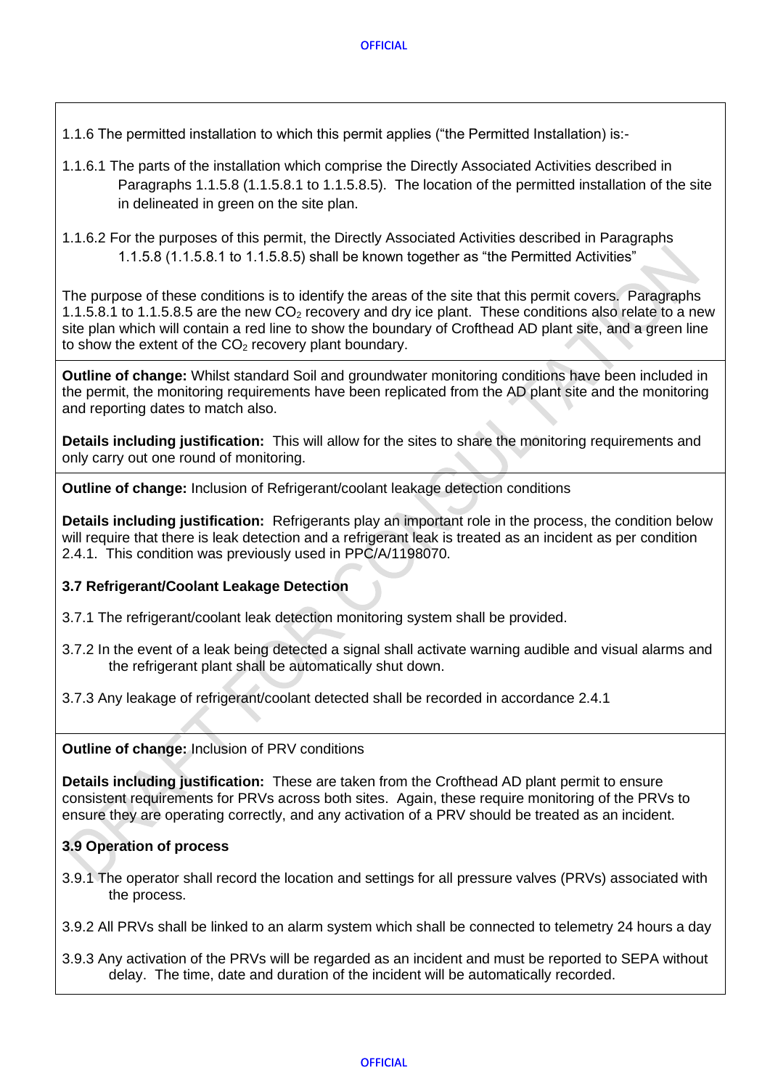1.1.6 The permitted installation to which this permit applies ("the Permitted Installation) is:-

- 1.1.6.1 The parts of the installation which comprise the Directly Associated Activities described in Paragraphs 1.1.5.8 (1.1.5.8.1 to 1.1.5.8.5). The location of the permitted installation of the site in delineated in green on the site plan.
- 1.1.6.2 For the purposes of this permit, the Directly Associated Activities described in Paragraphs 1.1.5.8 (1.1.5.8.1 to 1.1.5.8.5) shall be known together as "the Permitted Activities"

The purpose of these conditions is to identify the areas of the site that this permit covers. Paragraphs 1.1.5.8.1 to 1.1.5.8.5 are the new  $CO<sub>2</sub>$  recovery and dry ice plant. These conditions also relate to a new site plan which will contain a red line to show the boundary of Crofthead AD plant site, and a green line to show the extent of the  $CO<sub>2</sub>$  recovery plant boundary.

**Outline of change:** Whilst standard Soil and groundwater monitoring conditions have been included in the permit, the monitoring requirements have been replicated from the AD plant site and the monitoring and reporting dates to match also.

**Details including justification:** This will allow for the sites to share the monitoring requirements and only carry out one round of monitoring.

**Outline of change:** Inclusion of Refrigerant/coolant leakage detection conditions

**Details including justification:** Refrigerants play an important role in the process, the condition below will require that there is leak detection and a refrigerant leak is treated as an incident as per condition 2.4.1. This condition was previously used in PPC/A/1198070.

#### <span id="page-11-0"></span>**3.7 Refrigerant/Coolant Leakage Detection**

- 3.7.1 The refrigerant/coolant leak detection monitoring system shall be provided.
- 3.7.2 In the event of a leak being detected a signal shall activate warning audible and visual alarms and the refrigerant plant shall be automatically shut down.
- 3.7.3 Any leakage of refrigerant/coolant detected shall be recorded in accordance 2.4.1

#### **Outline of change:** Inclusion of PRV conditions

**Details including justification:** These are taken from the Crofthead AD plant permit to ensure consistent requirements for PRVs across both sites. Again, these require monitoring of the PRVs to ensure they are operating correctly, and any activation of a PRV should be treated as an incident.

#### <span id="page-11-1"></span>**3.9 Operation of process**

3.9.1 The operator shall record the location and settings for all pressure valves (PRVs) associated with the process.

3.9.2 All PRVs shall be linked to an alarm system which shall be connected to telemetry 24 hours a day

3.9.3 Any activation of the PRVs will be regarded as an incident and must be reported to SEPA without delay. The time, date and duration of the incident will be automatically recorded.